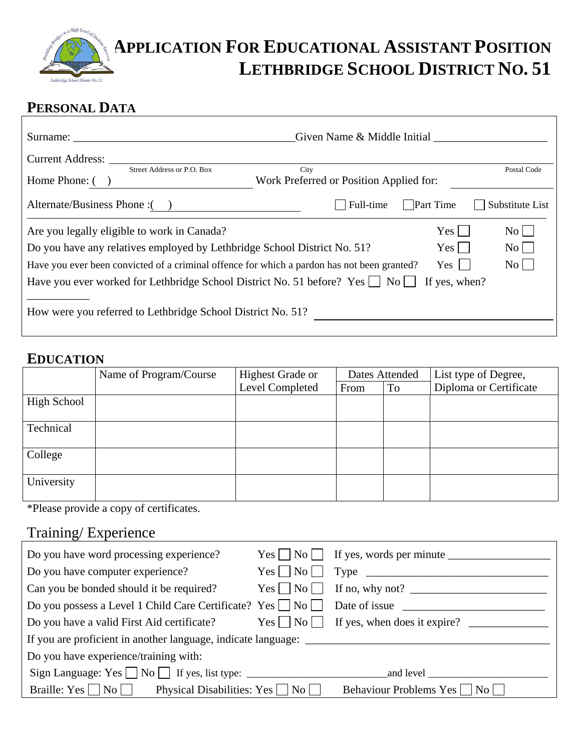

# **APPLICATION FOR EDUCATIONAL ASSISTANT POSITION LETHBRIDGE SCHOOL DISTRICT NO. 51**

# **PERSONAL DATA**

| Surname:                                                                                                                                                                                                               | Given Name & Middle Initial                     |                              |                                             |
|------------------------------------------------------------------------------------------------------------------------------------------------------------------------------------------------------------------------|-------------------------------------------------|------------------------------|---------------------------------------------|
| Current Address:<br>Street Address or P.O. Box<br>Home Phone: (                                                                                                                                                        | City<br>Work Preferred or Position Applied for: |                              | Postal Code                                 |
| Alternate/Business Phone : ()                                                                                                                                                                                          | Full-time                                       | Part Time                    | Substitute List                             |
| Are you legally eligible to work in Canada?<br>Do you have any relatives employed by Lethbridge School District No. 51?<br>Have you ever been convicted of a criminal offence for which a pardon has not been granted? |                                                 | Yes  <br>Yes  <br>$Yes \mid$ | $\rm{No}$<br>$\mathrm{No}$    <br>$\rm{No}$ |
| Have you ever worked for Lethbridge School District No. 51 before? Yes $\vert$ No $\vert$<br>How were you referred to Lethbridge School District No. 51?                                                               |                                                 | If yes, when?                |                                             |

### **EDUCATION**

|             | Name of Program/Course | <b>Highest Grade or</b> |      | Dates Attended | List type of Degree,   |
|-------------|------------------------|-------------------------|------|----------------|------------------------|
|             |                        | Level Completed         | From | To             | Diploma or Certificate |
| High School |                        |                         |      |                |                        |
| Technical   |                        |                         |      |                |                        |
| College     |                        |                         |      |                |                        |
| University  |                        |                         |      |                |                        |

\*Please provide a copy of certificates.

# Training/ Experience

| Do you have word processing experience?                                                                                              |                                           |
|--------------------------------------------------------------------------------------------------------------------------------------|-------------------------------------------|
| Do you have computer experience?                                                                                                     | $Yes \frown No \frown Type$               |
| Can you be bonded should it be required?                                                                                             | $Yes \tNo \tIf no, why not?$              |
| Do you possess a Level 1 Child Care Certificate? Yes  No  Date of issue  Superior 2.1 Child Care Certificate? Yes  No  Date of issue |                                           |
| Do you have a valid First Aid certificate?                                                                                           | $Yes \tNo \tIf yes, when does it expire?$ |
|                                                                                                                                      |                                           |
| Do you have experience/training with:                                                                                                |                                           |
|                                                                                                                                      |                                           |
| Braille: Yes $\Box$ No $\Box$ Physical Disabilities: Yes $\Box$ No $\Box$                                                            | Behaviour Problems Yes □ No □             |